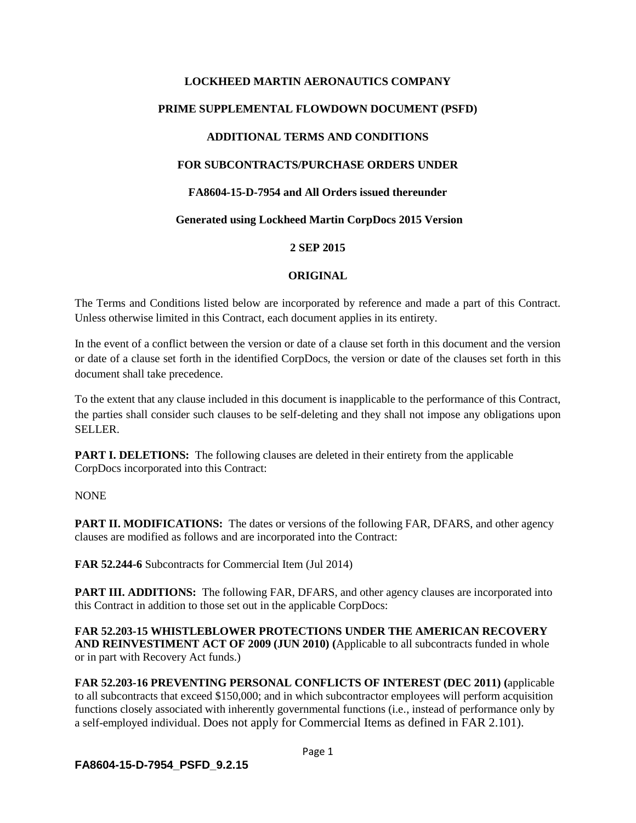# **LOCKHEED MARTIN AERONAUTICS COMPANY PRIME SUPPLEMENTAL FLOWDOWN DOCUMENT (PSFD) ADDITIONAL TERMS AND CONDITIONS FOR SUBCONTRACTS/PURCHASE ORDERS UNDER FA8604-15-D-7954 and All Orders issued thereunder Generated using Lockheed Martin CorpDocs 2015 Version**

#### **2 SEP 2015**

#### **ORIGINAL**

The Terms and Conditions listed below are incorporated by reference and made a part of this Contract. Unless otherwise limited in this Contract, each document applies in its entirety.

In the event of a conflict between the version or date of a clause set forth in this document and the version or date of a clause set forth in the identified CorpDocs, the version or date of the clauses set forth in this document shall take precedence.

To the extent that any clause included in this document is inapplicable to the performance of this Contract, the parties shall consider such clauses to be self-deleting and they shall not impose any obligations upon SELLER.

**PART I. DELETIONS:** The following clauses are deleted in their entirety from the applicable CorpDocs incorporated into this Contract:

#### NONE

**PART II. MODIFICATIONS:** The dates or versions of the following FAR, DFARS, and other agency clauses are modified as follows and are incorporated into the Contract:

**FAR 52.244-6** Subcontracts for Commercial Item (Jul 2014)

**PART III. ADDITIONS:** The following FAR, DFARS, and other agency clauses are incorporated into this Contract in addition to those set out in the applicable CorpDocs:

**FAR 52.203-15 WHISTLEBLOWER PROTECTIONS UNDER THE AMERICAN RECOVERY AND REINVESTIMENT ACT OF 2009 (JUN 2010) (**Applicable to all subcontracts funded in whole or in part with Recovery Act funds.)

**FAR 52.203-16 PREVENTING PERSONAL CONFLICTS OF INTEREST (DEC 2011) (**applicable to all subcontracts that exceed \$150,000; and in which subcontractor employees will perform acquisition functions closely associated with inherently governmental functions (i.e., instead of performance only by a self-employed individual. Does not apply for Commercial Items as defined in FAR 2.101).

**FA8604-15-D-7954\_PSFD\_9.2.15**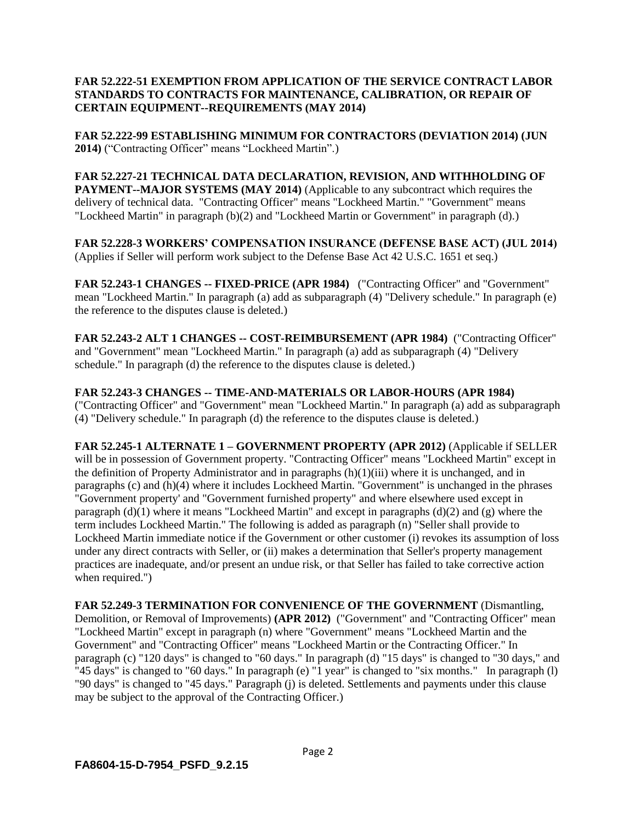#### **FAR 52.222-51 EXEMPTION FROM APPLICATION OF THE SERVICE CONTRACT LABOR STANDARDS TO CONTRACTS FOR MAINTENANCE, CALIBRATION, OR REPAIR OF CERTAIN EQUIPMENT--REQUIREMENTS (MAY 2014)**

**FAR 52.222-99 ESTABLISHING MINIMUM FOR CONTRACTORS (DEVIATION 2014) (JUN 2014)** ("Contracting Officer" means "Lockheed Martin".)

**FAR 52.227-21 TECHNICAL DATA DECLARATION, REVISION, AND WITHHOLDING OF PAYMENT--MAJOR SYSTEMS (MAY 2014)** (Applicable to any subcontract which requires the delivery of technical data. "Contracting Officer" means "Lockheed Martin." "Government" means "Lockheed Martin" in paragraph (b)(2) and "Lockheed Martin or Government" in paragraph (d).)

**FAR 52.228-3 WORKERS' COMPENSATION INSURANCE (DEFENSE BASE ACT) (JUL 2014)** (Applies if Seller will perform work subject to the Defense Base Act 42 U.S.C. 1651 et seq.)

**FAR 52.243-1 CHANGES -- FIXED-PRICE (APR 1984)** ("Contracting Officer" and "Government" mean "Lockheed Martin." In paragraph (a) add as subparagraph (4) "Delivery schedule." In paragraph (e) the reference to the disputes clause is deleted.)

**FAR 52.243-2 ALT 1 CHANGES -- COST-REIMBURSEMENT (APR 1984)** ("Contracting Officer" and "Government" mean "Lockheed Martin." In paragraph (a) add as subparagraph (4) "Delivery schedule." In paragraph (d) the reference to the disputes clause is deleted.)

**FAR 52.243-3 CHANGES -- TIME-AND-MATERIALS OR LABOR-HOURS (APR 1984)** ("Contracting Officer" and "Government" mean "Lockheed Martin." In paragraph (a) add as subparagraph (4) "Delivery schedule." In paragraph (d) the reference to the disputes clause is deleted.)

**FAR 52.245-1 ALTERNATE 1 – GOVERNMENT PROPERTY (APR 2012)** (Applicable if SELLER will be in possession of Government property. "Contracting Officer" means "Lockheed Martin" except in the definition of Property Administrator and in paragraphs (h)(1)(iii) where it is unchanged, and in paragraphs (c) and (h)(4) where it includes Lockheed Martin. "Government" is unchanged in the phrases "Government property' and "Government furnished property" and where elsewhere used except in paragraph (d)(1) where it means "Lockheed Martin" and except in paragraphs (d)(2) and (g) where the term includes Lockheed Martin." The following is added as paragraph (n) "Seller shall provide to Lockheed Martin immediate notice if the Government or other customer (i) revokes its assumption of loss under any direct contracts with Seller, or (ii) makes a determination that Seller's property management practices are inadequate, and/or present an undue risk, or that Seller has failed to take corrective action when required.")

**FAR 52.249-3 TERMINATION FOR CONVENIENCE OF THE GOVERNMENT** (Dismantling, Demolition, or Removal of Improvements) **(APR 2012)** ("Government" and "Contracting Officer" mean "Lockheed Martin" except in paragraph (n) where "Government" means "Lockheed Martin and the Government" and "Contracting Officer" means "Lockheed Martin or the Contracting Officer." In paragraph (c) "120 days" is changed to "60 days." In paragraph (d) "15 days" is changed to "30 days," and "45 days" is changed to "60 days." In paragraph (e) "1 year" is changed to "six months." In paragraph (l) "90 days" is changed to "45 days." Paragraph (j) is deleted. Settlements and payments under this clause may be subject to the approval of the Contracting Officer.)